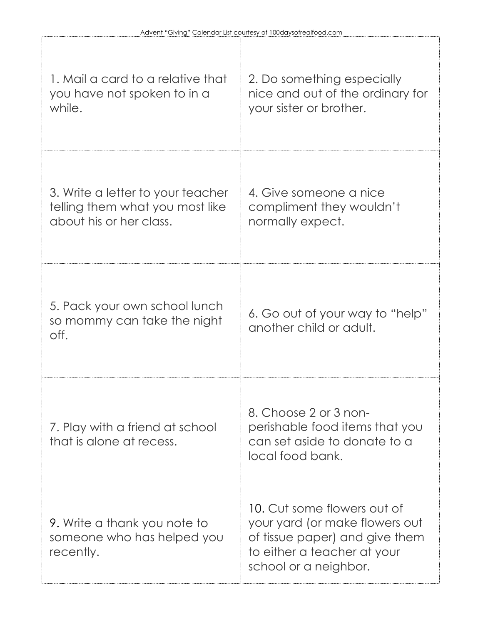|                                                                                                 | Advent "Giving" Calendar List courtesy of 100daysofrealfood.com                                                                                         |
|-------------------------------------------------------------------------------------------------|---------------------------------------------------------------------------------------------------------------------------------------------------------|
| 1. Mail a card to a relative that<br>you have not spoken to in a<br>while.                      | 2. Do something especially<br>nice and out of the ordinary for<br>your sister or brother.                                                               |
| 3. Write a letter to your teacher<br>telling them what you most like<br>about his or her class. | 4. Give someone a nice<br>compliment they wouldn't<br>normally expect.                                                                                  |
| 5. Pack your own school lunch<br>so mommy can take the night<br>off.                            | 6. Go out of your way to "help"<br>another child or adult.                                                                                              |
| 7. Play with a friend at school<br>that is alone at recess.                                     | 8. Choose 2 or 3 non-<br>perishable food items that you<br>can set aside to donate to a<br>local food bank.                                             |
| 9. Write a thank you note to<br>someone who has helped you<br>recently.                         | 10. Cut some flowers out of<br>your yard (or make flowers out<br>of tissue paper) and give them<br>to either a teacher at your<br>school or a neighbor. |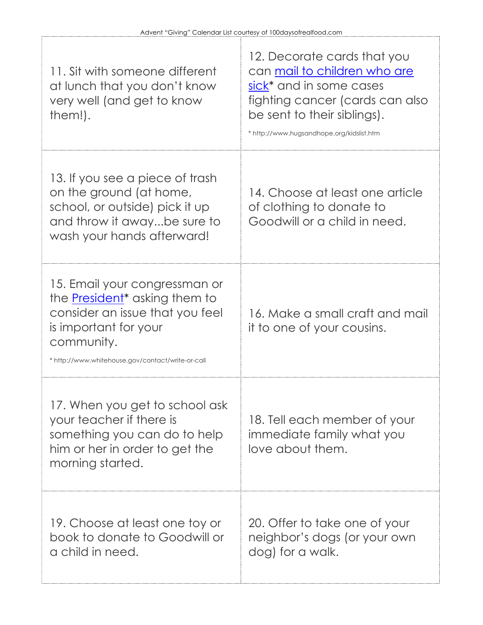| 11. Sit with someone different<br>at lunch that you don't know<br>very well (and get to know<br>them!).                                                                                                          | 12. Decorate cards that you<br>can mail to children who are<br>sick <sup>*</sup> and in some cases<br>fighting cancer (cards can also<br>be sent to their siblings).<br>* http://www.hugsandhope.org/kidslist.htm |
|------------------------------------------------------------------------------------------------------------------------------------------------------------------------------------------------------------------|-------------------------------------------------------------------------------------------------------------------------------------------------------------------------------------------------------------------|
| 13. If you see a piece of trash<br>on the ground (at home,<br>school, or outside) pick it up<br>and throw it awaybe sure to<br>wash your hands afterward!                                                        | 14. Choose at least one article<br>of clothing to donate to<br>Goodwill or a child in need.                                                                                                                       |
| 15. Email your congressman or<br>the <b>President</b> <sup>*</sup> asking them to<br>consider an issue that you feel<br>is important for your<br>community.<br>* http://www.whitehouse.gov/contact/write-or-call | 16. Make a small craft and mail<br>it to one of your cousins.                                                                                                                                                     |
| 17. When you get to school ask<br>your teacher if there is<br>something you can do to help<br>him or her in order to get the<br>morning started.                                                                 | 18. Tell each member of your<br>immediate family what you<br>love about them.                                                                                                                                     |
| 19. Choose at least one toy or<br>book to donate to Goodwill or<br>a child in need.                                                                                                                              | 20. Offer to take one of your<br>neighbor's dogs (or your own<br>dog) for a walk.                                                                                                                                 |